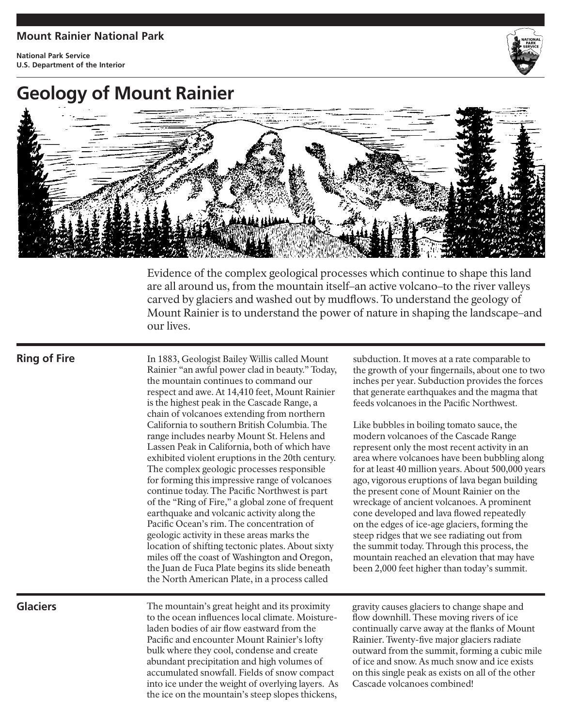## **Mount Rainier National Park**

**National Park Service U.S. Department of the Interior**



## **Geology of Mount Rainier**



Evidence of the complex geological processes which continue to shape this land are all around us, from the mountain itself–an active volcano–to the river valleys carved by glaciers and washed out by mudflows. To understand the geology of Mount Rainier is to understand the power of nature in shaping the landscape–and our lives.

Cascade volcanoes combined!

## **Glaciers** The mountain's great height and its proximity to the ocean influences local climate. Moistureladen bodies of air flow eastward from the Pacific and encounter Mount Rainier's lofty bulk where they cool, condense and create abundant precipitation and high volumes of accumulated snowfall. Fields of snow compact gravity causes glaciers to change shape and flow downhill. These moving rivers of ice continually carve away at the flanks of Mount Rainier. Twenty-five major glaciers radiate outward from the summit, forming a cubic mile of ice and snow. As much snow and ice exists on this single peak as exists on all of the other **Ring of Fire** In 1883, Geologist Bailey Willis called Mount Rainier "an awful power clad in beauty." Today, the mountain continues to command our respect and awe. At 14,410 feet, Mount Rainier is the highest peak in the Cascade Range, a chain of volcanoes extending from northern California to southern British Columbia. The range includes nearby Mount St. Helens and Lassen Peak in California, both of which have exhibited violent eruptions in the 20th century. The complex geologic processes responsible for forming this impressive range of volcanoes continue today. The Pacific Northwest is part of the "Ring of Fire," a global zone of frequent earthquake and volcanic activity along the Pacific Ocean's rim. The concentration of geologic activity in these areas marks the location of shifting tectonic plates. About sixty miles off the coast of Washington and Oregon, the Juan de Fuca Plate begins its slide beneath the North American Plate, in a process called subduction. It moves at a rate comparable to the growth of your fingernails, about one to two inches per year. Subduction provides the forces that generate earthquakes and the magma that feeds volcanoes in the Pacific Northwest. Like bubbles in boiling tomato sauce, the modern volcanoes of the Cascade Range represent only the most recent activity in an area where volcanoes have been bubbling along for at least 40 million years. About 500,000 years ago, vigorous eruptions of lava began building the present cone of Mount Rainier on the wreckage of ancient volcanoes. A prominent cone developed and lava flowed repeatedly on the edges of ice-age glaciers, forming the steep ridges that we see radiating out from the summit today. Through this process, the mountain reached an elevation that may have been 2,000 feet higher than today's summit.

into ice under the weight of overlying layers. As the ice on the mountain's steep slopes thickens,